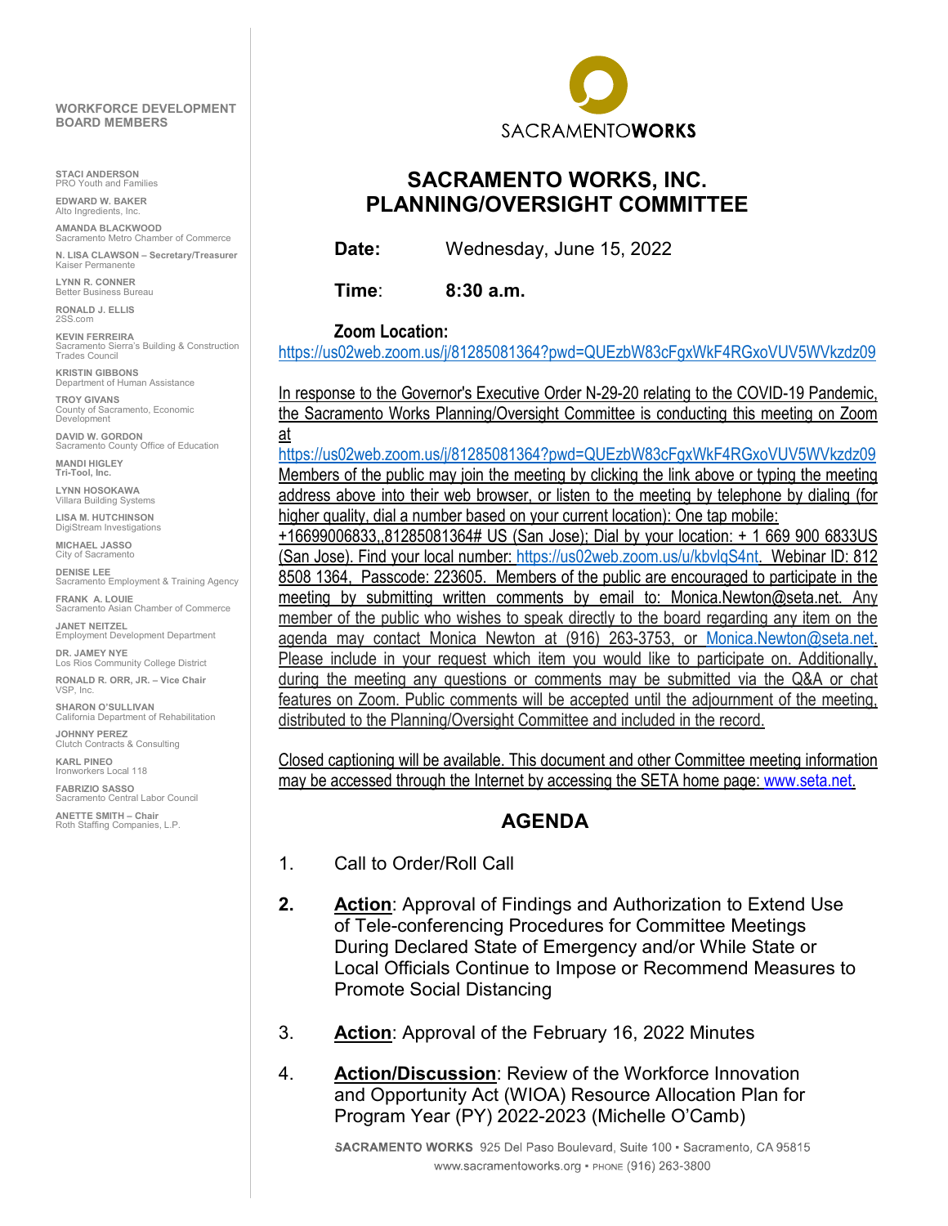#### **WORKFORCE DEVELOPMENT BOARD MEMBERS**

**STACI ANDERSON** Youth and Families

**EDWARD W. BAKER** Alto Ingredients, In

**AMANDA BLACKWOOD** Sacramento Metro Chamber of Commerce **N. LISA CLAWSON – Secretary/Treasurer**

Permanente **LYNN R. CONNER**  Better Business Bureau

**RONALD J. ELLIS** 2SS.com

**KEVIN FERREIRA**<br>Sacramento Sierra's Building & Construction<br>Trades Council

**KRISTIN GIBBONS** Department of Human Assistance

**TROY GIVANS** County of Sacramento, Economic Development

**DAVID W. GORDON** Sacramento County Office of Education **MANDI HIGLEY**

**Tri-Tool, Inc.**

**LYNN HOSOKAWA** Villara Building Systems

**LISA M. HUTCHINSON** DigiStream Investigations

**MICHAEL JASSO** City of Sacramento

**DENISE LEE** Sacramento Employment & Training Agency

**FRANK A. LOUIE** acramento Asian Chamber of Commerce **JANET NEITZEL** Employment Development Department

**DR. JAMEY NYE** Los Rios Community College District

**RONALD R. ORR, JR. – Vice Chair** VSP, Inc.

**SHARON O'SULLIVAN** California Department of Rehabilitation

**JOHNNY PEREZ**  Clutch Contracts & Consulting

**KARL PINEO**  Ironworkers Local 118

**FABRIZIO SASSO** Sacramento Central Labor Council

**ANETTE SMITH – Chair** Roth Staffing Companies, L.P.



# **SACRAMENTO WORKS, INC. PLANNING/OVERSIGHT COMMITTEE**

**Date:** Wednesday, June 15, 2022

**Time**: **8:30 a.m.**

#### **Zoom Location:**

<https://us02web.zoom.us/j/81285081364?pwd=QUEzbW83cFgxWkF4RGxoVUV5WVkzdz09>

In response to the Governor's Executive Order N-29-20 relating to the COVID-19 Pandemic, the Sacramento Works Planning/Oversight Committee is conducting this meeting on Zoom at

<https://us02web.zoom.us/j/81285081364?pwd=QUEzbW83cFgxWkF4RGxoVUV5WVkzdz09> Members of the public may join the meeting by clicking the link above or typing the meeting address above into their web browser, or listen to the meeting by telephone by dialing (for higher quality, dial a number based on your current location): One tap mobile:

+16699006833,,81285081364# US (San Jose); Dial by your location: + 1 669 900 6833US (San Jose). Find your local number: [https://us02web.zoom.us/u/kbvlqS4nt.](https://us02web.zoom.us/u/kbvlqS4nt) Webinar ID: 812 8508 1364, Passcode: 223605. Members of the public are encouraged to participate in the meeting by submitting written comments by email to: Monica.Newton@seta.net. Any member of the public who wishes to speak directly to the board regarding any item on the agenda may contact Monica Newton at (916) 263-3753, or [Monica.Newton@seta.net.](mailto:Monica.Newton@seta.net) Please include in your request which item you would like to participate on. Additionally, during the meeting any questions or comments may be submitted via the Q&A or chat features on Zoom. Public comments will be accepted until the adjournment of the meeting, distributed to the Planning/Oversight Committee and included in the record.

Closed captioning will be available. This document and other Committee meeting information may be accessed through the Internet by accessing the SETA home page[: www.seta.net.](http://www.seta.net/)

# **AGENDA**

- 1. Call to Order/Roll Call
- **2. Action**: Approval of Findings and Authorization to Extend Use of Tele-conferencing Procedures for Committee Meetings During Declared State of Emergency and/or While State or Local Officials Continue to Impose or Recommend Measures to Promote Social Distancing
- 3. **Action**: Approval of the February 16, 2022 Minutes
- 4. **Action/Discussion**: Review of the Workforce Innovation and Opportunity Act (WIOA) Resource Allocation Plan for Program Year (PY) 2022-2023 (Michelle O'Camb)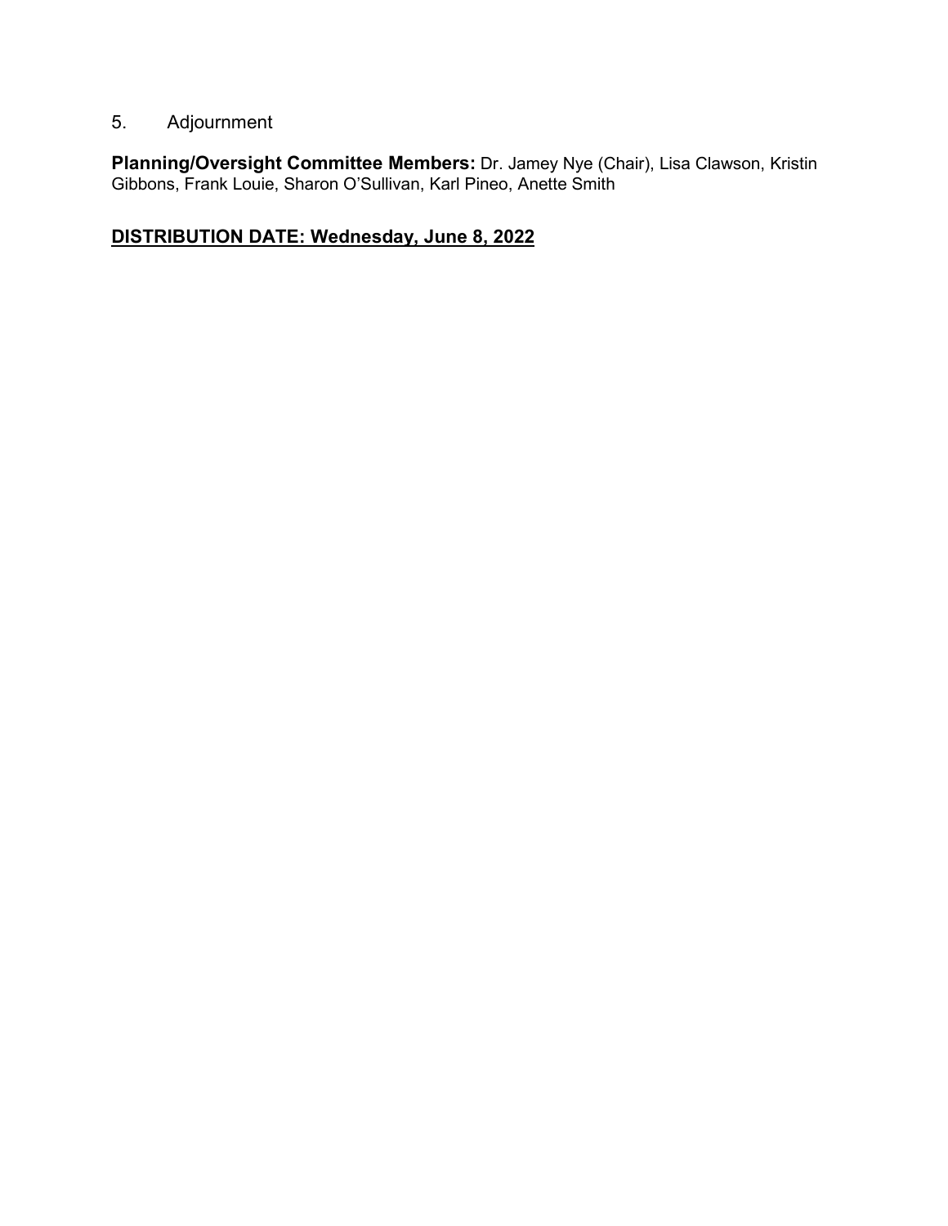# 5. Adjournment

**Planning/Oversight Committee Members:** Dr. Jamey Nye (Chair), Lisa Clawson, Kristin Gibbons, Frank Louie, Sharon O'Sullivan, Karl Pineo, Anette Smith

# **DISTRIBUTION DATE: Wednesday, June 8, 2022**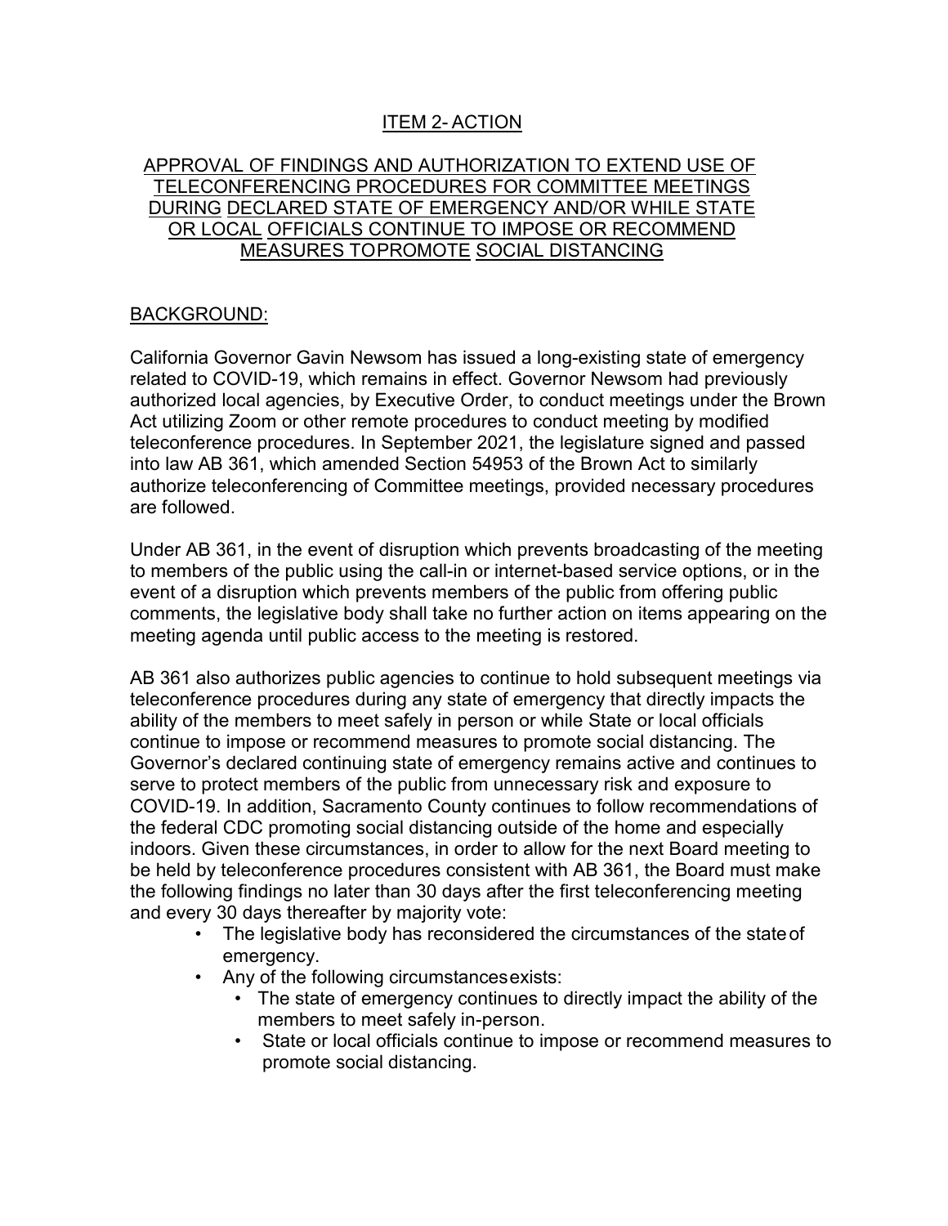# ITEM 2- ACTION

## APPROVAL OF FINDINGS AND AUTHORIZATION TO EXTEND USE OF TELECONFERENCING PROCEDURES FOR COMMITTEE MEETINGS DURING DECLARED STATE OF EMERGENCY AND/OR WHILE STATE OR LOCAL OFFICIALS CONTINUE TO IMPOSE OR RECOMMEND MEASURES TOPROMOTE SOCIAL DISTANCING

#### BACKGROUND:

California Governor Gavin Newsom has issued a long-existing state of emergency related to COVID-19, which remains in effect. Governor Newsom had previously authorized local agencies, by Executive Order, to conduct meetings under the Brown Act utilizing Zoom or other remote procedures to conduct meeting by modified teleconference procedures. In September 2021, the legislature signed and passed into law AB 361, which amended Section 54953 of the Brown Act to similarly authorize teleconferencing of Committee meetings, provided necessary procedures are followed.

Under AB 361, in the event of disruption which prevents broadcasting of the meeting to members of the public using the call-in or internet-based service options, or in the event of a disruption which prevents members of the public from offering public comments, the legislative body shall take no further action on items appearing on the meeting agenda until public access to the meeting is restored.

AB 361 also authorizes public agencies to continue to hold subsequent meetings via teleconference procedures during any state of emergency that directly impacts the ability of the members to meet safely in person or while State or local officials continue to impose or recommend measures to promote social distancing. The Governor's declared continuing state of emergency remains active and continues to serve to protect members of the public from unnecessary risk and exposure to COVID-19. In addition, Sacramento County continues to follow recommendations of the federal CDC promoting social distancing outside of the home and especially indoors. Given these circumstances, in order to allow for the next Board meeting to be held by teleconference procedures consistent with AB 361, the Board must make the following findings no later than 30 days after the first teleconferencing meeting and every 30 days thereafter by majority vote:

- The legislative body has reconsidered the circumstances of the stateof emergency.
- Any of the following circumstancesexists:
	- The state of emergency continues to directly impact the ability of the members to meet safely in-person.
	- State or local officials continue to impose or recommend measures to promote social distancing.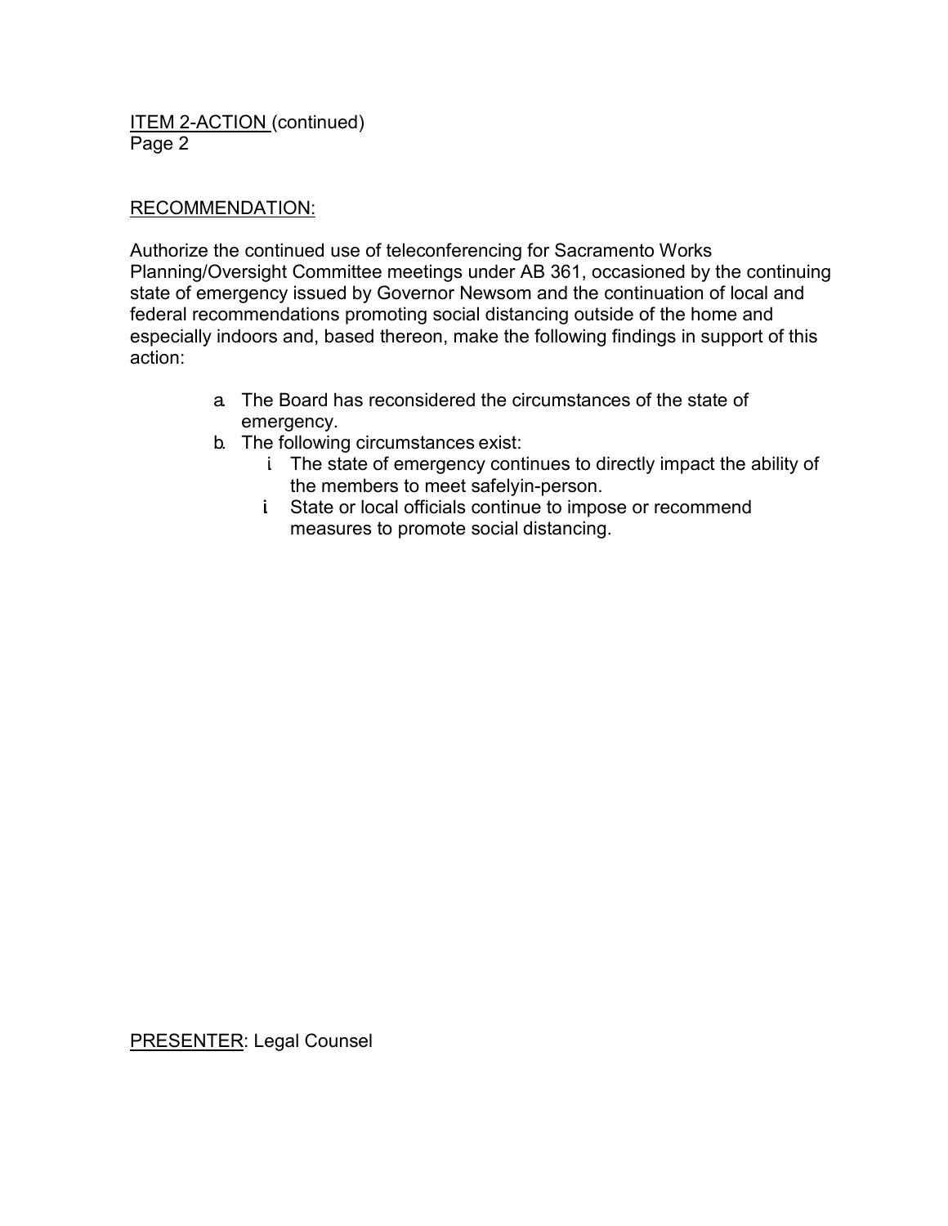ITEM 2-ACTION (continued) Page 2

## RECOMMENDATION:

Authorize the continued use of teleconferencing for Sacramento Works Planning/Oversight Committee meetings under AB 361, occasioned by the continuing state of emergency issued by Governor Newsom and the continuation of local and federal recommendations promoting social distancing outside of the home and especially indoors and, based thereon, make the following findings in support of this action:

- a. The Board has reconsidered the circumstances of the state of emergency.
- b. The following circumstances exist:
	- i. The state of emergency continues to directly impact the ability of the members to meet safelyin-person.
	- i. State or local officials continue to impose or recommend measures to promote social distancing.

PRESENTER: Legal Counsel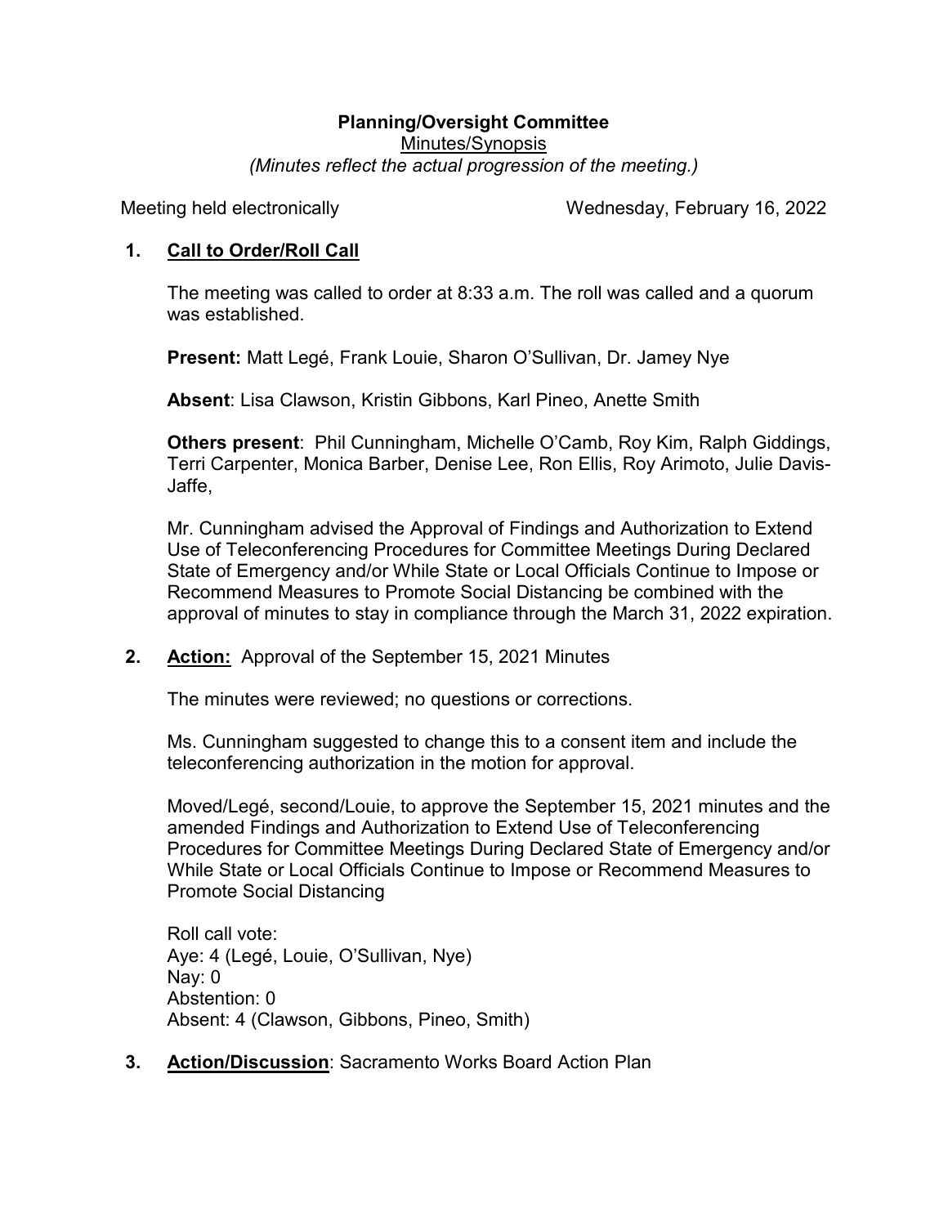### **Planning/Oversight Committee**  Minutes/Synopsis *(Minutes reflect the actual progression of the meeting.)*

Meeting held electronically Wednesday, February 16, 2022

# **1. Call to Order/Roll Call**

The meeting was called to order at 8:33 a.m. The roll was called and a quorum was established.

**Present:** Matt Legé, Frank Louie, Sharon O'Sullivan, Dr. Jamey Nye

**Absent**: Lisa Clawson, Kristin Gibbons, Karl Pineo, Anette Smith

**Others present**: Phil Cunningham, Michelle O'Camb, Roy Kim, Ralph Giddings, Terri Carpenter, Monica Barber, Denise Lee, Ron Ellis, Roy Arimoto, Julie Davis-Jaffe,

Mr. Cunningham advised the Approval of Findings and Authorization to Extend Use of Teleconferencing Procedures for Committee Meetings During Declared State of Emergency and/or While State or Local Officials Continue to Impose or Recommend Measures to Promote Social Distancing be combined with the approval of minutes to stay in compliance through the March 31, 2022 expiration.

**2. Action:** Approval of the September 15, 2021 Minutes

The minutes were reviewed; no questions or corrections.

Ms. Cunningham suggested to change this to a consent item and include the teleconferencing authorization in the motion for approval.

Moved/Legé, second/Louie, to approve the September 15, 2021 minutes and the amended Findings and Authorization to Extend Use of Teleconferencing Procedures for Committee Meetings During Declared State of Emergency and/or While State or Local Officials Continue to Impose or Recommend Measures to Promote Social Distancing

Roll call vote: Aye: 4 (Legé, Louie, O'Sullivan, Nye) Nay: 0 Abstention: 0 Absent: 4 (Clawson, Gibbons, Pineo, Smith)

**3. Action/Discussion**: Sacramento Works Board Action Plan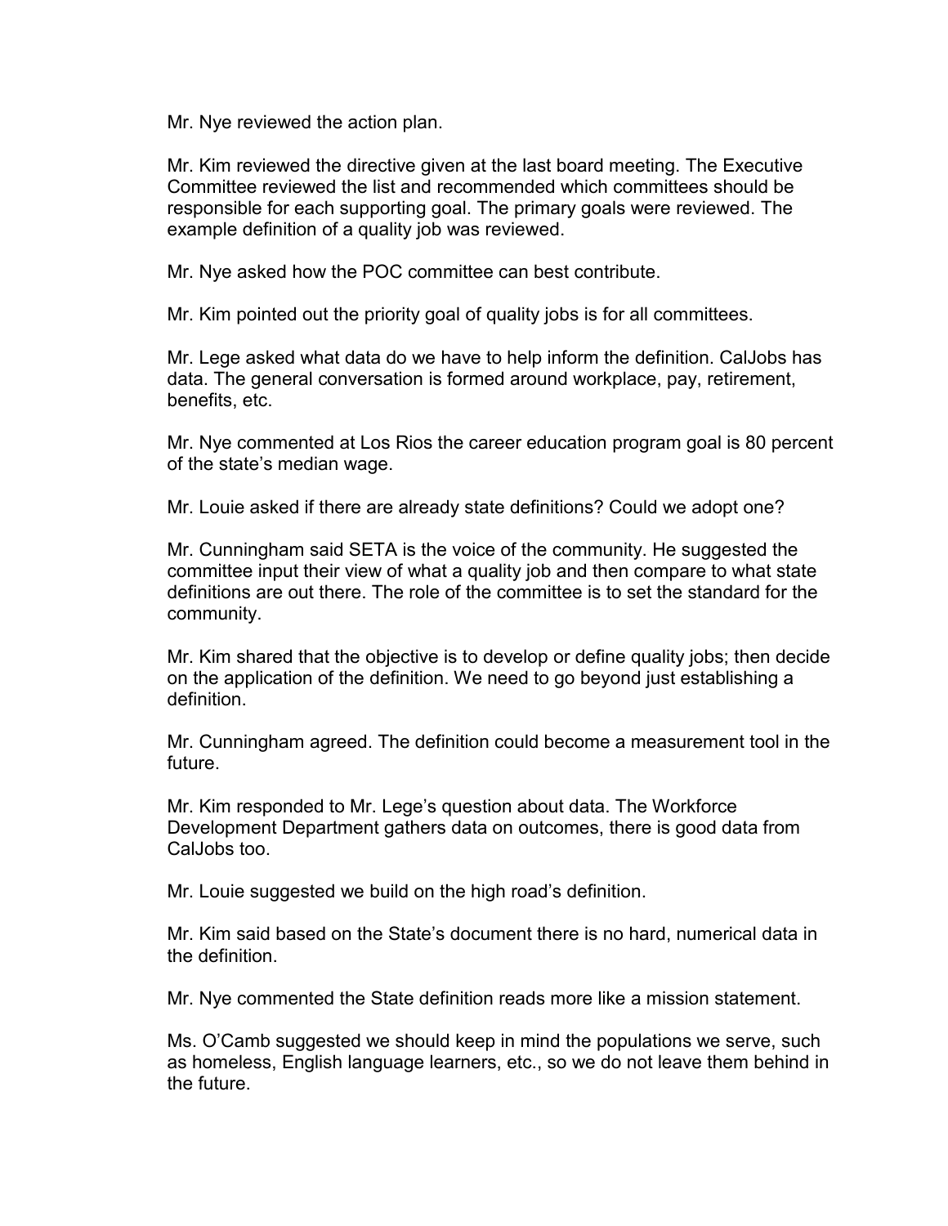Mr. Nye reviewed the action plan.

Mr. Kim reviewed the directive given at the last board meeting. The Executive Committee reviewed the list and recommended which committees should be responsible for each supporting goal. The primary goals were reviewed. The example definition of a quality job was reviewed.

Mr. Nye asked how the POC committee can best contribute.

Mr. Kim pointed out the priority goal of quality jobs is for all committees.

Mr. Lege asked what data do we have to help inform the definition. CalJobs has data. The general conversation is formed around workplace, pay, retirement, benefits, etc.

Mr. Nye commented at Los Rios the career education program goal is 80 percent of the state's median wage.

Mr. Louie asked if there are already state definitions? Could we adopt one?

Mr. Cunningham said SETA is the voice of the community. He suggested the committee input their view of what a quality job and then compare to what state definitions are out there. The role of the committee is to set the standard for the community.

Mr. Kim shared that the objective is to develop or define quality jobs; then decide on the application of the definition. We need to go beyond just establishing a definition.

Mr. Cunningham agreed. The definition could become a measurement tool in the future.

Mr. Kim responded to Mr. Lege's question about data. The Workforce Development Department gathers data on outcomes, there is good data from CalJobs too.

Mr. Louie suggested we build on the high road's definition.

Mr. Kim said based on the State's document there is no hard, numerical data in the definition.

Mr. Nye commented the State definition reads more like a mission statement.

Ms. O'Camb suggested we should keep in mind the populations we serve, such as homeless, English language learners, etc., so we do not leave them behind in the future.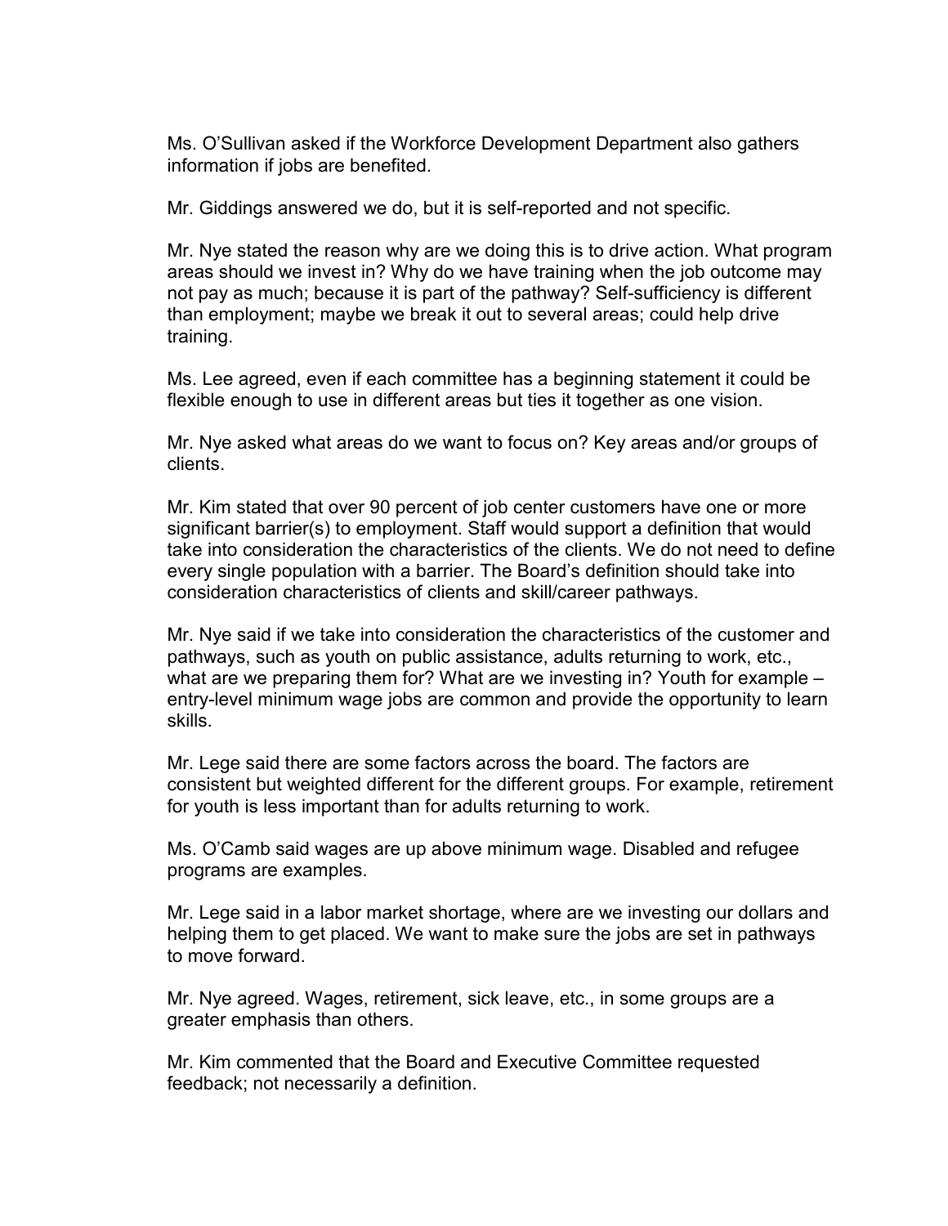Ms. O'Sullivan asked if the Workforce Development Department also gathers information if jobs are benefited.

Mr. Giddings answered we do, but it is self-reported and not specific.

Mr. Nye stated the reason why are we doing this is to drive action. What program areas should we invest in? Why do we have training when the job outcome may not pay as much; because it is part of the pathway? Self-sufficiency is different than employment; maybe we break it out to several areas; could help drive training.

Ms. Lee agreed, even if each committee has a beginning statement it could be flexible enough to use in different areas but ties it together as one vision.

Mr. Nye asked what areas do we want to focus on? Key areas and/or groups of clients.

Mr. Kim stated that over 90 percent of job center customers have one or more significant barrier(s) to employment. Staff would support a definition that would take into consideration the characteristics of the clients. We do not need to define every single population with a barrier. The Board's definition should take into consideration characteristics of clients and skill/career pathways.

Mr. Nye said if we take into consideration the characteristics of the customer and pathways, such as youth on public assistance, adults returning to work, etc., what are we preparing them for? What are we investing in? Youth for example – entry-level minimum wage jobs are common and provide the opportunity to learn skills.

Mr. Lege said there are some factors across the board. The factors are consistent but weighted different for the different groups. For example, retirement for youth is less important than for adults returning to work.

Ms. O'Camb said wages are up above minimum wage. Disabled and refugee programs are examples.

Mr. Lege said in a labor market shortage, where are we investing our dollars and helping them to get placed. We want to make sure the jobs are set in pathways to move forward.

Mr. Nye agreed. Wages, retirement, sick leave, etc., in some groups are a greater emphasis than others.

Mr. Kim commented that the Board and Executive Committee requested feedback; not necessarily a definition.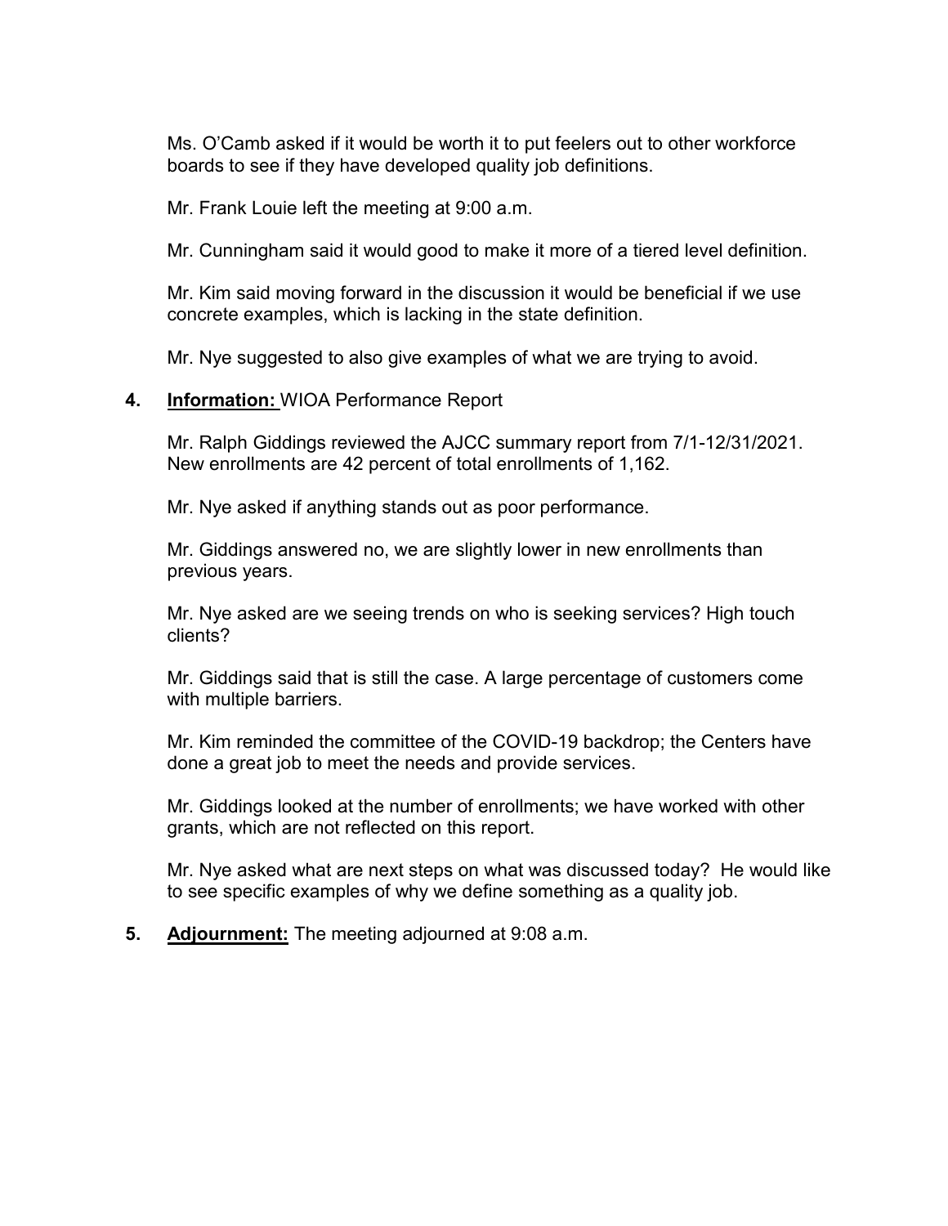Ms. O'Camb asked if it would be worth it to put feelers out to other workforce boards to see if they have developed quality job definitions.

Mr. Frank Louie left the meeting at 9:00 a.m.

Mr. Cunningham said it would good to make it more of a tiered level definition.

Mr. Kim said moving forward in the discussion it would be beneficial if we use concrete examples, which is lacking in the state definition.

Mr. Nye suggested to also give examples of what we are trying to avoid.

#### **4. Information:** WIOA Performance Report

Mr. Ralph Giddings reviewed the AJCC summary report from 7/1-12/31/2021. New enrollments are 42 percent of total enrollments of 1,162.

Mr. Nye asked if anything stands out as poor performance.

Mr. Giddings answered no, we are slightly lower in new enrollments than previous years.

Mr. Nye asked are we seeing trends on who is seeking services? High touch clients?

Mr. Giddings said that is still the case. A large percentage of customers come with multiple barriers.

Mr. Kim reminded the committee of the COVID-19 backdrop; the Centers have done a great job to meet the needs and provide services.

Mr. Giddings looked at the number of enrollments; we have worked with other grants, which are not reflected on this report.

Mr. Nye asked what are next steps on what was discussed today? He would like to see specific examples of why we define something as a quality job.

**5. Adjournment:** The meeting adjourned at 9:08 a.m.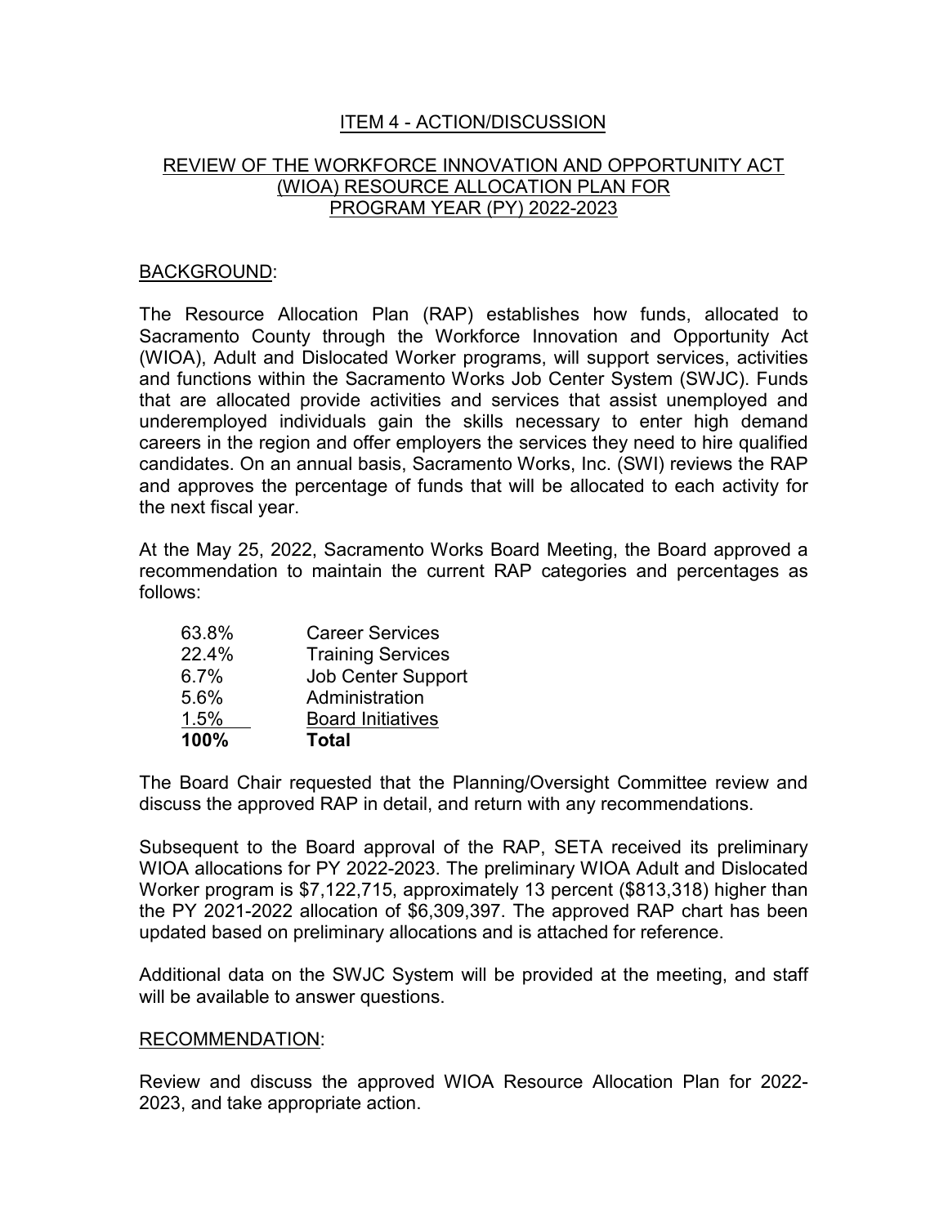## ITEM 4 - ACTION/DISCUSSION

## REVIEW OF THE WORKFORCE INNOVATION AND OPPORTUNITY ACT (WIOA) RESOURCE ALLOCATION PLAN FOR PROGRAM YEAR (PY) 2022-2023

#### BACKGROUND:

The Resource Allocation Plan (RAP) establishes how funds, allocated to Sacramento County through the Workforce Innovation and Opportunity Act (WIOA), Adult and Dislocated Worker programs, will support services, activities and functions within the Sacramento Works Job Center System (SWJC). Funds that are allocated provide activities and services that assist unemployed and underemployed individuals gain the skills necessary to enter high demand careers in the region and offer employers the services they need to hire qualified candidates. On an annual basis, Sacramento Works, Inc. (SWI) reviews the RAP and approves the percentage of funds that will be allocated to each activity for the next fiscal year.

At the May 25, 2022, Sacramento Works Board Meeting, the Board approved a recommendation to maintain the current RAP categories and percentages as follows:

| 100%    | <b>Total</b>              |
|---------|---------------------------|
| 1.5%    | <b>Board Initiatives</b>  |
| 5.6%    | Administration            |
| $6.7\%$ | <b>Job Center Support</b> |
| 22.4%   | <b>Training Services</b>  |
| 63.8%   | <b>Career Services</b>    |

The Board Chair requested that the Planning/Oversight Committee review and discuss the approved RAP in detail, and return with any recommendations.

Subsequent to the Board approval of the RAP, SETA received its preliminary WIOA allocations for PY 2022-2023. The preliminary WIOA Adult and Dislocated Worker program is \$7,122,715, approximately 13 percent (\$813,318) higher than the PY 2021-2022 allocation of \$6,309,397. The approved RAP chart has been updated based on preliminary allocations and is attached for reference.

Additional data on the SWJC System will be provided at the meeting, and staff will be available to answer questions.

#### RECOMMENDATION:

Review and discuss the approved WIOA Resource Allocation Plan for 2022- 2023, and take appropriate action.